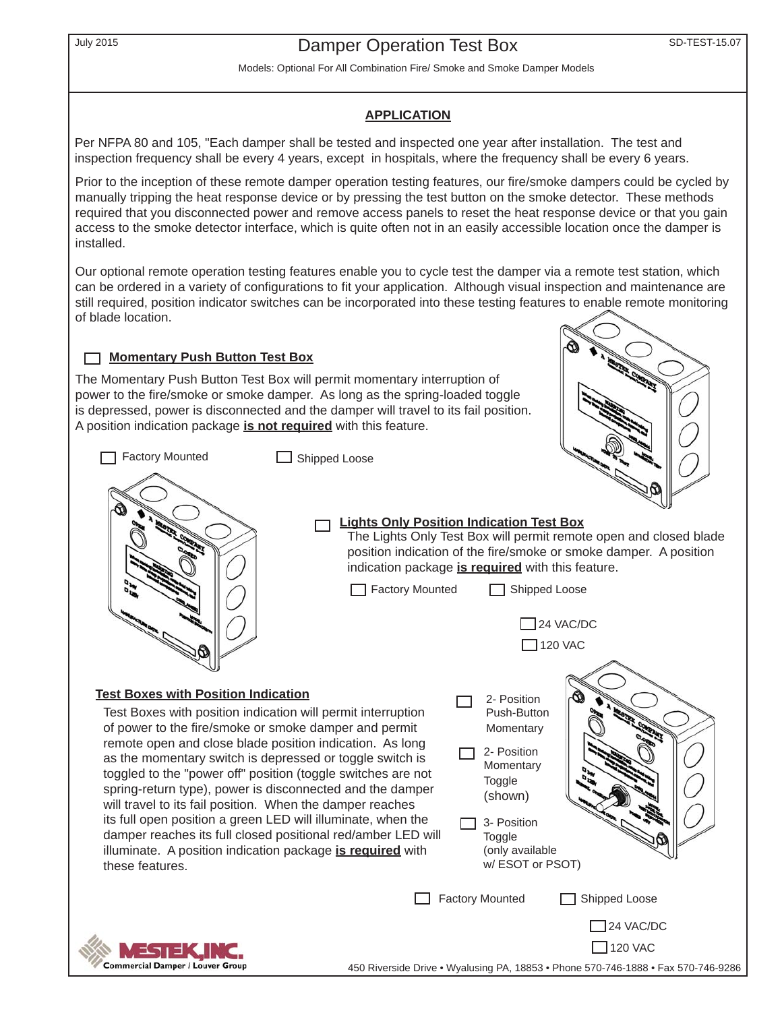# July 2015 **SD-TEST-15.07** Damper Operation Test Box

Models: Optional For All Combination Fire/ Smoke and Smoke Damper Models

#### **APPLICATION**

Per NFPA 80 and 105, "Each damper shall be tested and inspected one year after installation. The test and inspection frequency shall be every 4 years, except in hospitals, where the frequency shall be every 6 years.

Prior to the inception of these remote damper operation testing features, our fire/smoke dampers could be cycled by manually tripping the heat response device or by pressing the test button on the smoke detector. These methods required that you disconnected power and remove access panels to reset the heat response device or that you gain access to the smoke detector interface, which is quite often not in an easily accessible location once the damper is installed.

Our optional remote operation testing features enable you to cycle test the damper via a remote test station, which can be ordered in a variety of configurations to fit your application. Although visual inspection and maintenance are still required, position indicator switches can be incorporated into these testing features to enable remote monitoring of blade location.

### **Momentary Push Button Test Box**

The Momentary Push Button Test Box will permit momentary interruption of power to the fire/smoke or smoke damper. As long as the spring-loaded toggle is depressed, power is disconnected and the damper will travel to its fail position. A position indication package **is not required** with this feature.

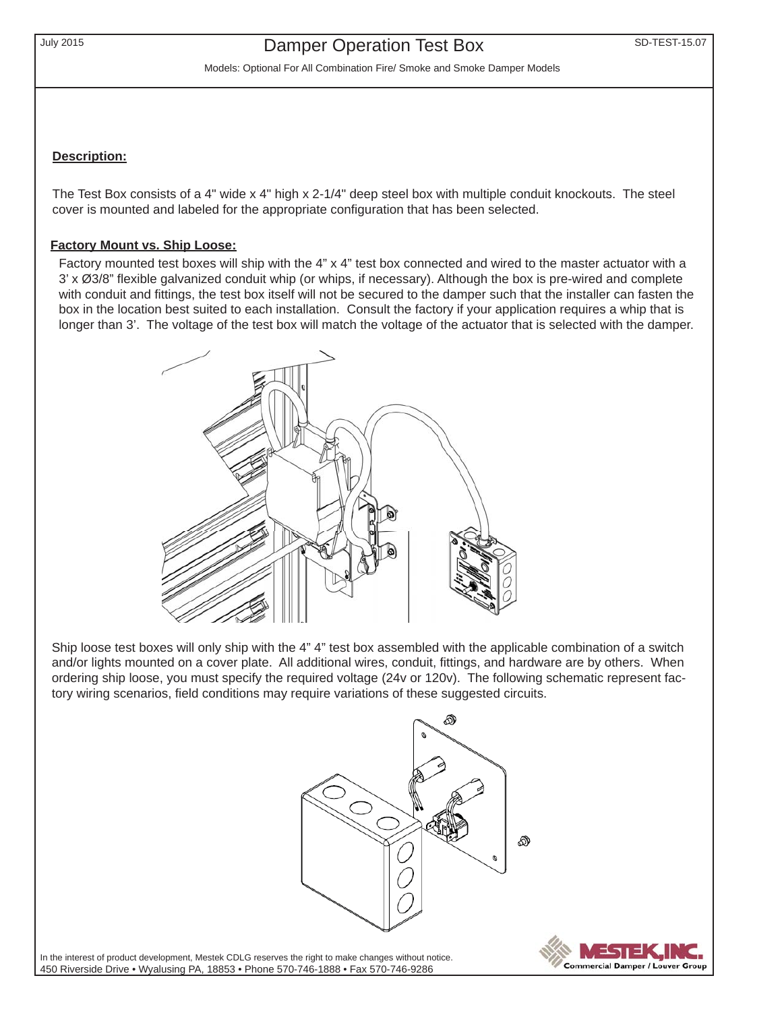Models: Optional For All Combination Fire/ Smoke and Smoke Damper Models

### **Description:**

The Test Box consists of a 4" wide x 4" high x 2-1/4" deep steel box with multiple conduit knockouts. The steel cover is mounted and labeled for the appropriate configuration that has been selected.

### **Factory Mount vs. Ship Loose:**

Factory mounted test boxes will ship with the 4" x 4" test box connected and wired to the master actuator with a  $3' \times \emptyset$ 3/8" flexible galvanized conduit whip (or whips, if necessary). Although the box is pre-wired and complete with conduit and fittings, the test box itself will not be secured to the damper such that the installer can fasten the box in the location best suited to each installation. Consult the factory if your application requires a whip that is longer than 3'. The voltage of the test box will match the voltage of the actuator that is selected with the damper.



Ship loose test boxes will only ship with the 4" 4" test box assembled with the applicable combination of a switch and/or lights mounted on a cover plate. All additional wires, conduit, fittings, and hardware are by others. When ordering ship loose, you must specify the required voltage (24v or 120v). The following schematic represent factory wiring scenarios, field conditions may require variations of these suggested circuits.





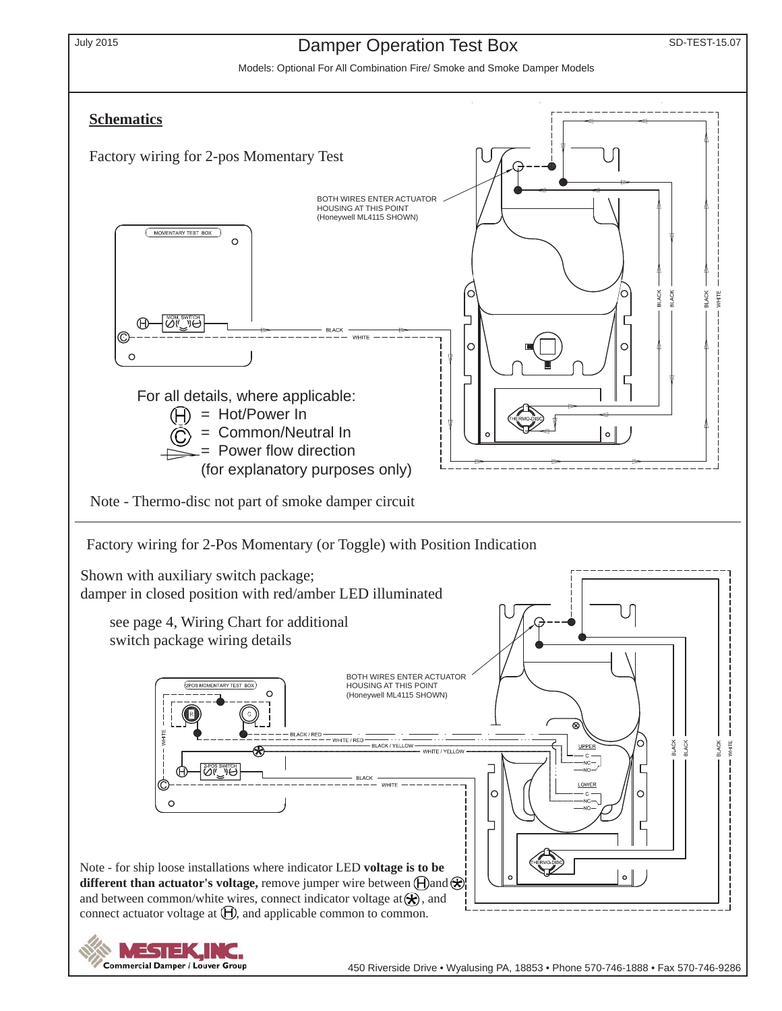

### July 2015 **SD-TEST-15.07** Damper Operation Test Box

Models: Optional For All Combination Fire/ Smoke and Smoke Damper Models

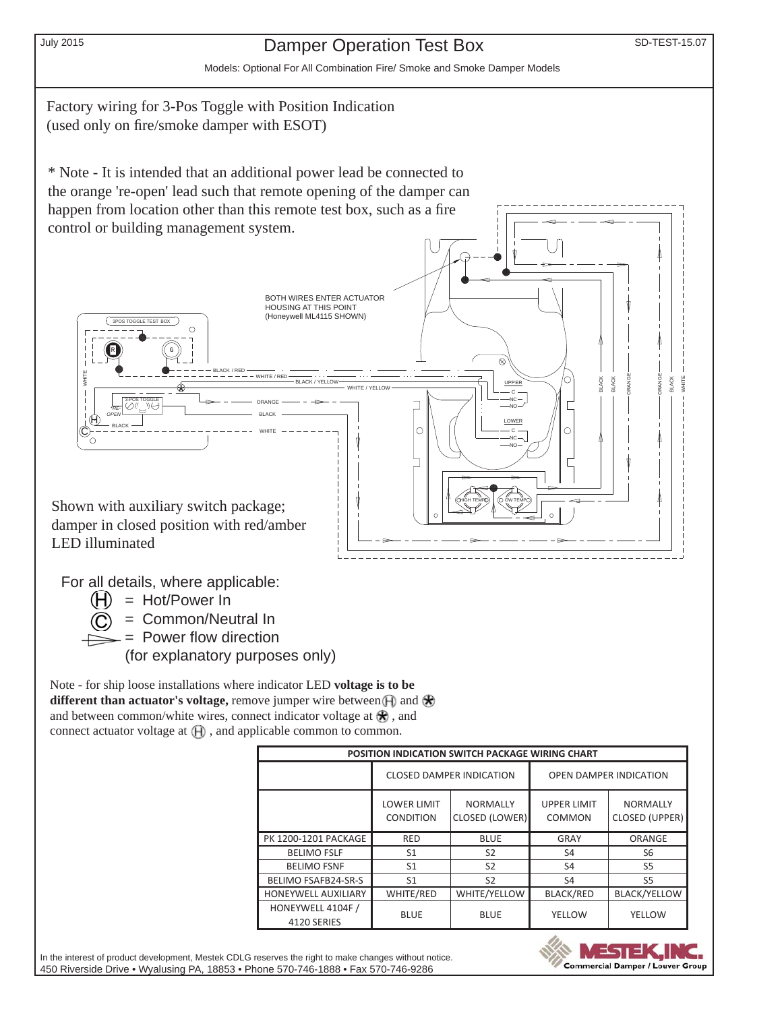# July 2015 **Damper Operation Test Box** SD-TEST-15.07

Models: Optional For All Combination Fire/ Smoke and Smoke Damper Models

Factory wiring for 3-Pos Toggle with Position Indication (used only on fire/smoke damper with ESOT)

\* Note - It is intended that an additional power lead be connected to the orange 're-open' lead such that remote opening of the damper can happen from location other than this remote test box, such as a fire control or building management system.



For all details, where applicable:

 $(H)$  = Hot/Power In 

= Common/Neutral In

 $=$  Power flow direction

(for explanatory purposes only)

Note - for ship loose installations where indicator LED **voltage is to be different than actuator's voltage, remove jumper wire between**  $\bigoplus$  **and**  $\bigotimes$ and between common/white wires, connect indicator voltage at  $\mathcal{R}$ , and connect actuator voltage at  $\bigoplus$ , and applicable common to common.

| <b>POSITION INDICATION SWITCH PACKAGE WIRING CHART</b> |                                        |                                   |                               |                                          |
|--------------------------------------------------------|----------------------------------------|-----------------------------------|-------------------------------|------------------------------------------|
|                                                        | <b>CLOSED DAMPER INDICATION</b>        |                                   | <b>OPEN DAMPER INDICATION</b> |                                          |
|                                                        | <b>LOWER LIMIT</b><br><b>CONDITION</b> | <b>NORMALLY</b><br>CLOSED (LOWER) | <b>UPPER LIMIT</b><br>COMMON  | <b>NORMALLY</b><br><b>CLOSED (UPPER)</b> |
| <b>PK 1200-1201 PACKAGE</b>                            | <b>RED</b>                             | <b>BLUE</b>                       | GRAY                          | ORANGE                                   |
| <b>BELIMO FSLF</b>                                     | S1                                     | S <sub>2</sub>                    | S4                            | S <sub>6</sub>                           |
| <b>BELIMO FSNF</b>                                     | S <sub>1</sub>                         | S <sub>2</sub>                    | S <sub>4</sub>                | S <sub>5</sub>                           |
| BELIMO FSAFB24-SR-S                                    | S1                                     | S <sub>2</sub>                    | S <sub>4</sub>                | S <sub>5</sub>                           |
| <b>HONEYWELL AUXILIARY</b>                             | WHITE/RED                              | WHITE/YELLOW                      | <b>BLACK/RED</b>              | <b>BLACK/YELLOW</b>                      |
| HONEYWELL 4104F /<br>4120 SERIES                       | <b>BLUE</b>                            | <b>BLUE</b>                       | YELLOW                        | YELLOW                                   |

In the interest of product development, Mestek CDLG reserves the right to make changes without notice. 450 Riverside Drive • Wyalusing PA, 18853 • Phone 570-746-1888 • Fax 570-746-9286

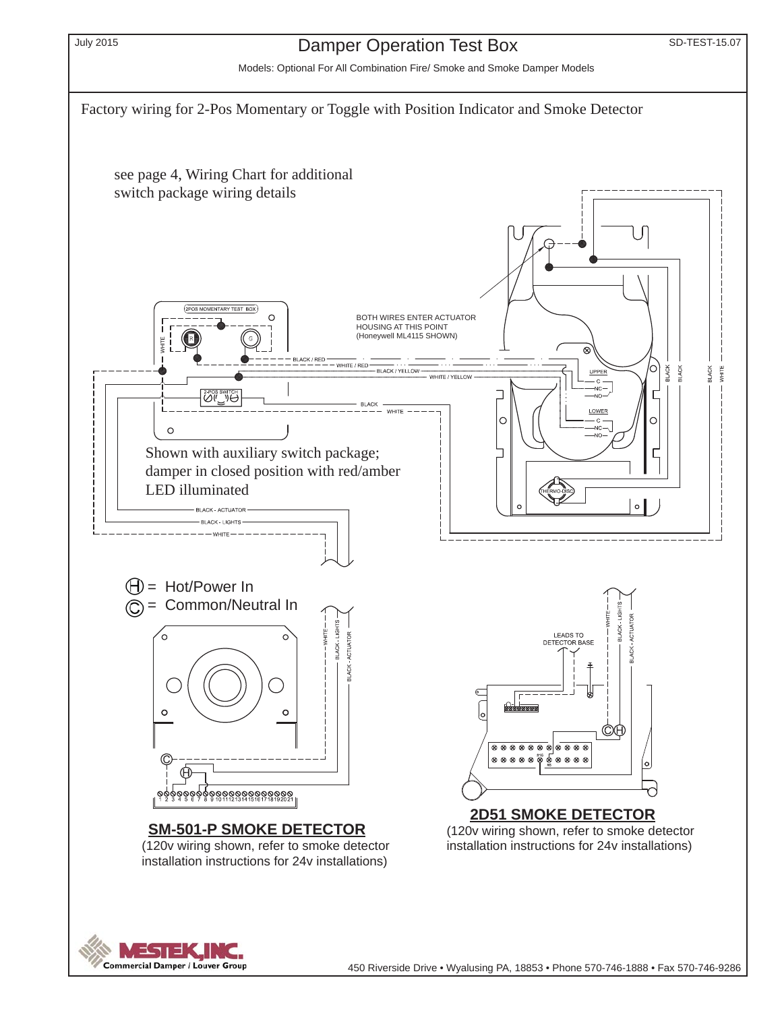

### July 2015 **SD-TEST-15.07** Damper Operation Test Box

Models: Optional For All Combination Fire/ Smoke and Smoke Damper Models